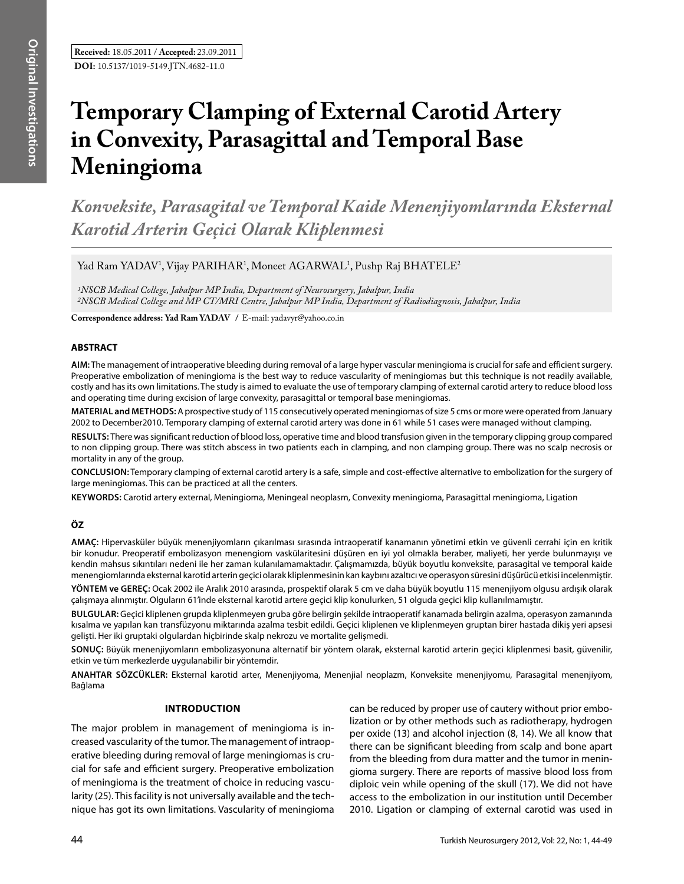**DOI:** 10.5137/1019-5149.JTN.4682-11.0 **Received:** 18.05.2011 / **Accepted:** 23.09.2011

# **Temporary Clamping of External Carotid Artery in Convexity, Parasagittal and Temporal Base Meningioma**

*Konveksite, Parasagital ve Temporal Kaide Menenjiyomlarında Eksternal Karotid Arterin Geçici Olarak Kliplenmesi* 

Yad Ram YADAV<sup>1</sup>, Vijay PARIHAR<sup>1</sup>, Moneet AGARWAL<sup>1</sup>, Pushp Raj BHATELE<sup>2</sup>

*1NSCB Medical College, Jabalpur MP India, Department of Neurosurgery, Jabalpur, India 2NSCB Medical College and MP CT/MRI Centre, Jabalpur MP India, Department of Radiodiagnosis, Jabalpur, India*

**Correspondence address: Yad Ram YADAV / E-mail: yadavyr@yahoo.co.in** 

# **ABSTRACT**

**AIm:** The management of intraoperative bleeding during removal of a large hyper vascular meningioma is crucial for safe and efficient surgery. Preoperative embolization of meningioma is the best way to reduce vascularity of meningiomas but this technique is not readily available, costly and has its own limitations. The study is aimed to evaluate the use of temporary clamping of external carotid artery to reduce blood loss and operating time during excision of large convexity, parasagittal or temporal base meningiomas.

**MaterIal and Methods:** A prospective study of 115 consecutively operated meningiomas of size 5 cms or more were operated from January 2002 to December2010. Temporary clamping of external carotid artery was done in 61 while 51 cases were managed without clamping.

**Results:** There was significant reduction of blood loss, operative time and blood transfusion given in the temporary clipping group compared to non clipping group. There was stitch abscess in two patients each in clamping, and non clamping group. There was no scalp necrosis or mortality in any of the group.

**ConclusIon:** Temporary clamping of external carotid artery is a safe, simple and cost-effective alternative to embolization for the surgery of large meningiomas. This can be practiced at all the centers.

**Keywords:** Carotid artery external, Meningioma, Meningeal neoplasm, Convexity meningioma, Parasagittal meningioma, Ligation

# **ÖZ**

**AMAÇ:** Hipervasküler büyük menenjiyomların çıkarılması sırasında intraoperatif kanamanın yönetimi etkin ve güvenli cerrahi için en kritik bir konudur. Preoperatif embolizasyon menengiom vaskülaritesini düşüren en iyi yol olmakla beraber, maliyeti, her yerde bulunmayışı ve kendin mahsus sıkıntıları nedeni ile her zaman kulanılamamaktadır. Çalışmamızda, büyük boyutlu konveksite, parasagital ve temporal kaide menengiomlarında eksternal karotid arterin geçici olarak kliplenmesinin kan kaybını azaltıcı ve operasyon süresini düşürücü etkisi incelenmiştir.

**YÖNTEM ve GEREÇ:** Ocak 2002 ile Aralık 2010 arasında, prospektif olarak 5 cm ve daha büyük boyutlu 115 menenjiyom olgusu ardışık olarak çalışmaya alınmıştır. Olguların 61'inde eksternal karotid artere geçici klip konulurken, 51 olguda geçici klip kullanılmamıştır.

**BULGULAR:** Geçici kliplenen grupda kliplenmeyen gruba göre belirgin şekilde intraoperatif kanamada belirgin azalma, operasyon zamanında kısalma ve yapılan kan transfüzyonu miktarında azalma tesbit edildi. Geçici kliplenen ve kliplenmeyen gruptan birer hastada dikiş yeri apsesi gelişti. Her iki gruptaki olgulardan hiçbirinde skalp nekrozu ve mortalite gelişmedi.

**SONUÇ:** Büyük menenjiyomların embolizasyonuna alternatif bir yöntem olarak, eksternal karotid arterin geçici kliplenmesi basit, güvenilir, etkin ve tüm merkezlerde uygulanabilir bir yöntemdir.

**ANAHTAR SÖZCÜKLER:** Eksternal karotid arter, Menenjiyoma, Menenjial neoplazm, Konveksite menenjiyomu, Parasagital menenjiyom, Bağlama

### **Introduction**

The major problem in management of meningioma is increased vascularity of the tumor. The management of intraoperative bleeding during removal of large meningiomas is crucial for safe and efficient surgery. Preoperative embolization of meningioma is the treatment of choice in reducing vascularity (25). This facility is not universally available and the technique has got its own limitations. Vascularity of meningioma can be reduced by proper use of cautery without prior embolization or by other methods such as radiotherapy, hydrogen per oxide (13) and alcohol injection (8, 14). We all know that there can be significant bleeding from scalp and bone apart from the bleeding from dura matter and the tumor in meningioma surgery. There are reports of massive blood loss from diploic vein while opening of the skull (17). We did not have access to the embolization in our institution until December 2010. Ligation or clamping of external carotid was used in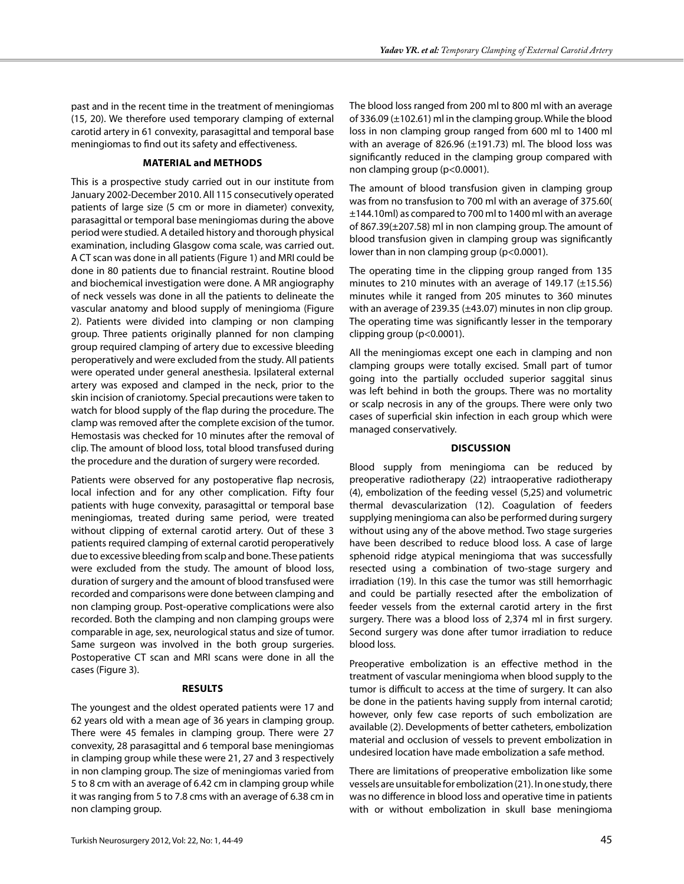past and in the recent time in the treatment of meningiomas (15, 20). We therefore used temporary clamping of external carotid artery in 61 convexity, parasagittal and temporal base meningiomas to find out its safety and effectiveness.

# **Material and methods**

This is a prospective study carried out in our institute from January 2002-December 2010. All 115 consecutively operated patients of large size (5 cm or more in diameter) convexity, parasagittal or temporal base meningiomas during the above period were studied. A detailed history and thorough physical examination, including Glasgow coma scale, was carried out. A CT scan was done in all patients (Figure 1) and MRI could be done in 80 patients due to financial restraint. Routine blood and biochemical investigation were done. A MR angiography of neck vessels was done in all the patients to delineate the vascular anatomy and blood supply of meningioma (Figure 2). Patients were divided into clamping or non clamping group. Three patients originally planned for non clamping group required clamping of artery due to excessive bleeding peroperatively and were excluded from the study. All patients were operated under general anesthesia. Ipsilateral external artery was exposed and clamped in the neck, prior to the skin incision of craniotomy. Special precautions were taken to watch for blood supply of the flap during the procedure. The clamp was removed after the complete excision of the tumor. Hemostasis was checked for 10 minutes after the removal of clip. The amount of blood loss, total blood transfused during the procedure and the duration of surgery were recorded.

Patients were observed for any postoperative flap necrosis, local infection and for any other complication. Fifty four patients with huge convexity, parasagittal or temporal base meningiomas, treated during same period, were treated without clipping of external carotid artery. Out of these 3 patients required clamping of external carotid peroperatively due to excessive bleeding from scalp and bone. These patients were excluded from the study. The amount of blood loss, duration of surgery and the amount of blood transfused were recorded and comparisons were done between clamping and non clamping group. Post-operative complications were also recorded. Both the clamping and non clamping groups were comparable in age, sex, neurological status and size of tumor. Same surgeon was involved in the both group surgeries. Postoperative CT scan and MRI scans were done in all the cases (Figure 3).

# **Results**

The youngest and the oldest operated patients were 17 and 62 years old with a mean age of 36 years in clamping group. There were 45 females in clamping group. There were 27 convexity, 28 parasagittal and 6 temporal base meningiomas in clamping group while these were 21, 27 and 3 respectively in non clamping group. The size of meningiomas varied from 5 to 8 cm with an average of 6.42 cm in clamping group while it was ranging from 5 to 7.8 cms with an average of 6.38 cm in non clamping group.

The blood loss ranged from 200 ml to 800 ml with an average of 336.09 (±102.61) ml in the clamping group. While the blood loss in non clamping group ranged from 600 ml to 1400 ml with an average of 826.96 (±191.73) ml. The blood loss was significantly reduced in the clamping group compared with non clamping group (p<0.0001).

The amount of blood transfusion given in clamping group was from no transfusion to 700 ml with an average of 375.60( ±144.10ml) as compared to 700 ml to 1400 ml with an average of 867.39(±207.58) ml in non clamping group. The amount of blood transfusion given in clamping group was significantly lower than in non clamping group (p<0.0001).

The operating time in the clipping group ranged from 135 minutes to 210 minutes with an average of 149.17 (±15.56) minutes while it ranged from 205 minutes to 360 minutes with an average of 239.35 (±43.07) minutes in non clip group. The operating time was significantly lesser in the temporary clipping group (p<0.0001).

All the meningiomas except one each in clamping and non clamping groups were totally excised. Small part of tumor going into the partially occluded superior saggital sinus was left behind in both the groups. There was no mortality or scalp necrosis in any of the groups. There were only two cases of superficial skin infection in each group which were managed conservatively.

# **Discussion**

Blood supply from meningioma can be reduced by preoperative radiotherapy (22) intraoperative radiotherapy (4), embolization of the feeding vessel (5,25) and volumetric thermal devascularization (12). Coagulation of feeders supplying meningioma can also be performed during surgery without using any of the above method. Two stage surgeries have been described to reduce blood loss. A case of large sphenoid ridge atypical meningioma that was successfully resected using a combination of two-stage surgery and irradiation (19). In this case the tumor was still hemorrhagic and could be partially resected after the embolization of feeder vessels from the external carotid artery in the first surgery. There was a blood loss of 2,374 ml in first surgery. Second surgery was done after tumor irradiation to reduce blood loss.

Preoperative embolization is an effective method in the treatment of vascular meningioma when blood supply to the tumor is difficult to access at the time of surgery. It can also be done in the patients having supply from internal carotid; however, only few case reports of such embolization are available (2). Developments of better catheters, embolization material and occlusion of vessels to prevent embolization in undesired location have made embolization a safe method.

There are limitations of preoperative embolization like some vessels are unsuitable for embolization (21). In one study, there was no difference in blood loss and operative time in patients with or without embolization in skull base meningioma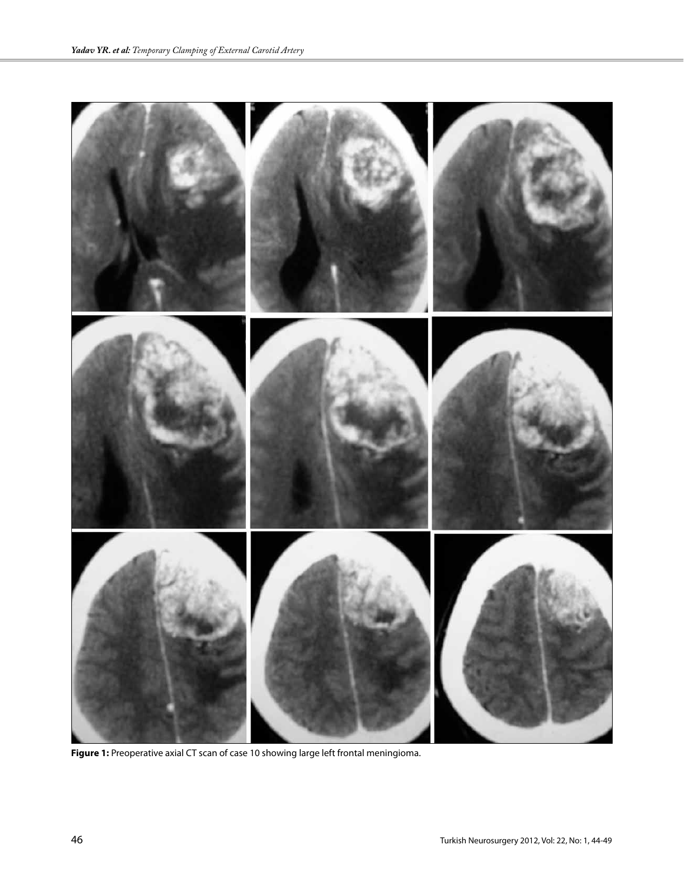

**Figure 1:** Preoperative axial CT scan of case 10 showing large left frontal meningioma.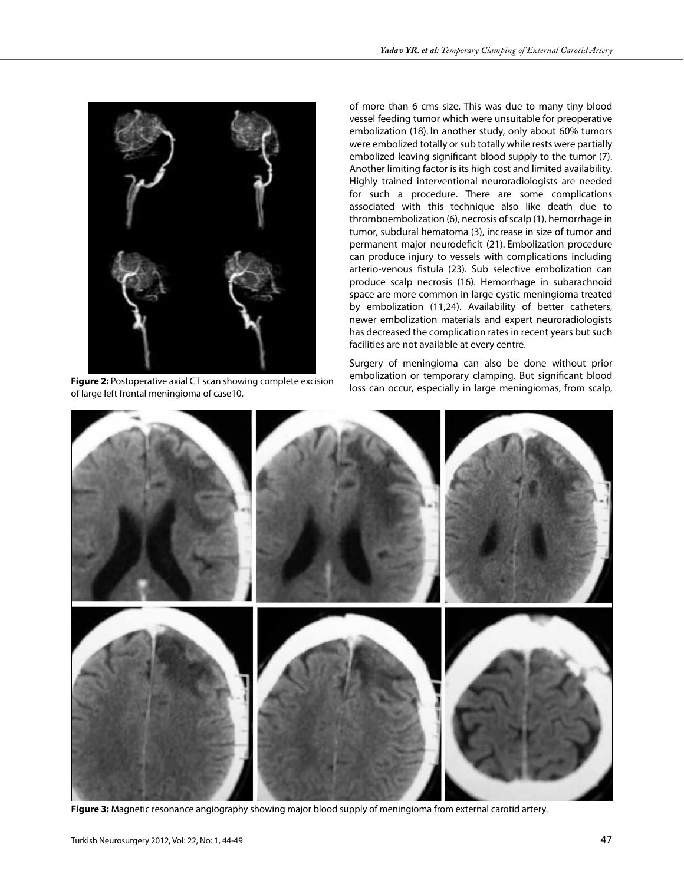

**Figure 2:** Postoperative axial CT scan showing complete excision of large left frontal meningioma of case10.

of more than 6 cms size. This was due to many tiny blood vessel feeding tumor which were unsuitable for preoperative embolization (18). In another study, only about 60% tumors were embolized totally or sub totally while rests were partially embolized leaving significant blood supply to the tumor (7). Another limiting factor is its high cost and limited availability. Highly trained interventional neuroradiologists are needed for such a procedure. There are some complications associated with this technique also like death due to thromboembolization (6), necrosis of scalp (1), hemorrhage in tumor, subdural hematoma (3), increase in size of tumor and permanent major neurodeficit (21). Embolization procedure can produce injury to vessels with complications including arterio-venous fistula (23). Sub selective embolization can produce scalp necrosis (16). Hemorrhage in subarachnoid space are more common in large cystic meningioma treated by embolization (11,24). Availability of better catheters, newer embolization materials and expert neuroradiologists has decreased the complication rates in recent years but such facilities are not available at every centre.

Surgery of meningioma can also be done without prior embolization or temporary clamping. But significant blood loss can occur, especially in large meningiomas, from scalp,



**Figure 3:** Magnetic resonance angiography showing major blood supply of meningioma from external carotid artery.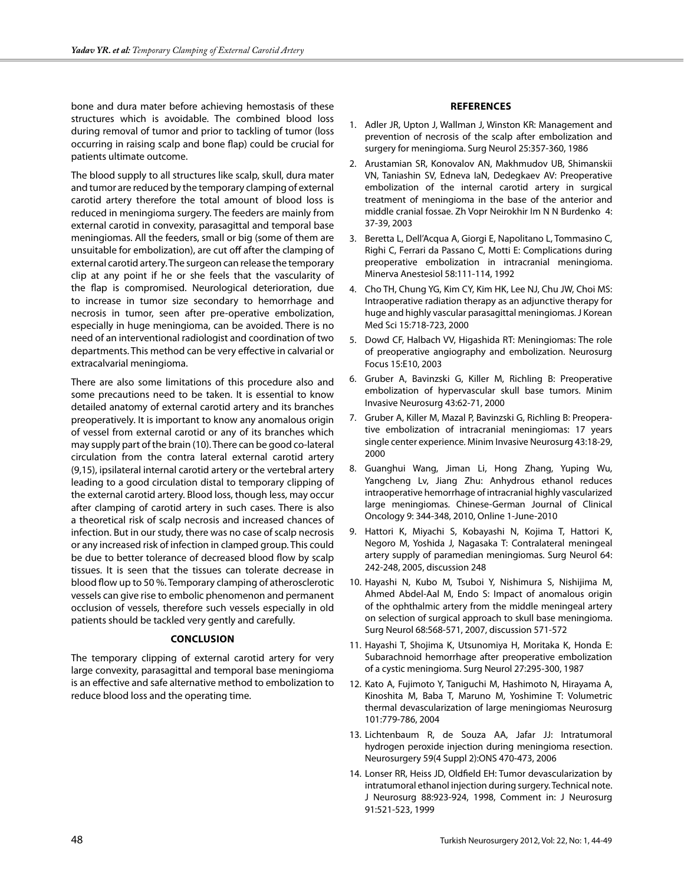bone and dura mater before achieving hemostasis of these structures which is avoidable. The combined blood loss during removal of tumor and prior to tackling of tumor (loss occurring in raising scalp and bone flap) could be crucial for patients ultimate outcome.

The blood supply to all structures like scalp, skull, dura mater and tumor are reduced by the temporary clamping of external carotid artery therefore the total amount of blood loss is reduced in meningioma surgery. The feeders are mainly from external carotid in convexity, parasagittal and temporal base meningiomas. All the feeders, small or big (some of them are unsuitable for embolization), are cut off after the clamping of external carotid artery. The surgeon can release the temporary clip at any point if he or she feels that the vascularity of the flap is compromised. Neurological deterioration, due to increase in tumor size secondary to hemorrhage and necrosis in tumor, seen after pre-operative embolization, especially in huge meningioma, can be avoided. There is no need of an interventional radiologist and coordination of two departments. This method can be very effective in calvarial or extracalvarial meningioma.

There are also some limitations of this procedure also and some precautions need to be taken. It is essential to know detailed anatomy of external carotid artery and its branches preoperatively. It is important to know any anomalous origin of vessel from external carotid or any of its branches which may supply part of the brain (10). There can be good co-lateral circulation from the contra lateral external carotid artery (9,15), ipsilateral internal carotid artery or the vertebral artery leading to a good circulation distal to temporary clipping of the external carotid artery. Blood loss, though less, may occur after clamping of carotid artery in such cases. There is also a theoretical risk of scalp necrosis and increased chances of infection. But in our study, there was no case of scalp necrosis or any increased risk of infection in clamped group. This could be due to better tolerance of decreased blood flow by scalp tissues. It is seen that the tissues can tolerate decrease in blood flow up to 50 %. Temporary clamping of atherosclerotic vessels can give rise to embolic phenomenon and permanent occlusion of vessels, therefore such vessels especially in old patients should be tackled very gently and carefully.

### **Conclusion**

The temporary clipping of external carotid artery for very large convexity, parasagittal and temporal base meningioma is an effective and safe alternative method to embolization to reduce blood loss and the operating time.

## **References**

- 1. Adler JR, Upton J, Wallman J, Winston KR: Management and prevention of necrosis of the scalp after embolization and surgery for meningioma. Surg Neurol 25:357-360, 1986
- 2. Arustamian SR, Konovalov AN, Makhmudov UB, Shimanskii VN, Taniashin SV, Edneva IaN, Dedegkaev AV: Preoperative embolization of the internal carotid artery in surgical treatment of meningioma in the base of the anterior and middle cranial fossae. Zh Vopr Neirokhir Im N N Burdenko 4: 37-39, 2003
- 3. Beretta L, Dell'Acqua A, Giorgi E, Napolitano L, Tommasino C, Righi C, Ferrari da Passano C, Motti E: Complications during preoperative embolization in intracranial meningioma. Minerva Anestesiol 58:111-114, 1992
- 4. Cho TH, Chung YG, Kim CY, Kim HK, Lee NJ, Chu JW, Choi MS: Intraoperative radiation therapy as an adjunctive therapy for huge and highly vascular parasagittal meningiomas. J Korean Med Sci 15:718-723, 2000
- 5. Dowd CF, Halbach VV, Higashida RT: Meningiomas: The role of preoperative angiography and embolization. Neurosurg Focus 15:E10, 2003
- 6. Gruber A, Bavinzski G, Killer M, Richling B: Preoperative embolization of hypervascular skull base tumors. Minim Invasive Neurosurg 43:62-71, 2000
- 7. Gruber A, Killer M, Mazal P, Bavinzski G, Richling B: Preoperative embolization of intracranial meningiomas: 17 years single center experience. Minim Invasive Neurosurg 43:18-29, 2000
- 8. Guanghui Wang, Jiman Li, Hong Zhang, Yuping Wu, Yangcheng Lv, Jiang Zhu: Anhydrous ethanol reduces intraoperative hemorrhage of intracranial highly vascularized large meningiomas. Chinese-German Journal of Clinical Oncology 9: 344-348, 2010, Online 1-June-2010
- 9. Hattori K, Miyachi S, Kobayashi N, Kojima T, Hattori K, Negoro M, Yoshida J, Nagasaka T: Contralateral meningeal artery supply of paramedian meningiomas. Surg Neurol 64: 242-248, 2005, discussion 248
- 10. Hayashi N, Kubo M, Tsuboi Y, Nishimura S, Nishijima M, Ahmed Abdel-Aal M, Endo S: Impact of anomalous origin of the ophthalmic artery from the middle meningeal artery on selection of surgical approach to skull base meningioma. Surg Neurol 68:568-571, 2007, discussion 571-572
- 11. Hayashi T, Shojima K, Utsunomiya H, Moritaka K, Honda E: Subarachnoid hemorrhage after preoperative embolization of a cystic meningioma. Surg Neurol 27:295-300, 1987
- 12. Kato A, Fujimoto Y, Taniguchi M, Hashimoto N, Hirayama A, Kinoshita M, Baba T, Maruno M, Yoshimine T: Volumetric thermal devascularization of large meningiomas Neurosurg 101:779-786, 2004
- 13. Lichtenbaum R, de Souza AA, Jafar JJ: Intratumoral hydrogen peroxide injection during meningioma resection. Neurosurgery 59(4 Suppl 2):ONS 470-473, 2006
- 14. Lonser RR, Heiss JD, Oldfield EH: Tumor devascularization by intratumoral ethanol injection during surgery. Technical note. J Neurosurg 88:923-924, 1998, Comment in: J Neurosurg 91:521-523, 1999